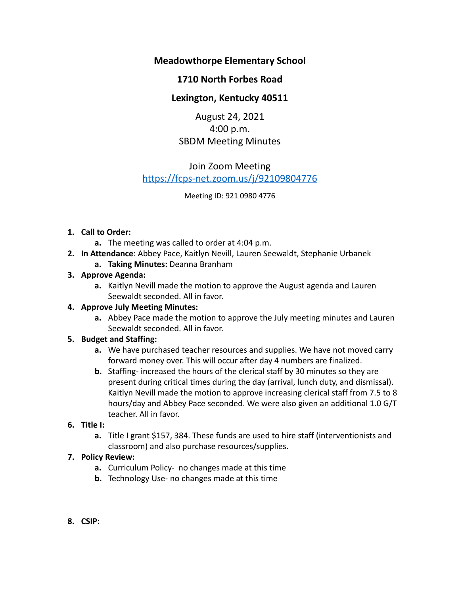## **Meadowthorpe Elementary School**

## **1710 North Forbes Road**

# **Lexington, Kentucky 40511**

August 24, 2021 4:00 p.m. SBDM Meeting Minutes

# Join Zoom Meeting <https://fcps-net.zoom.us/j/92109804776>

Meeting ID: 921 0980 4776

### **1. Call to Order:**

- **a.** The meeting was called to order at 4:04 p.m.
- **2. In Attendance**: Abbey Pace, Kaitlyn Nevill, Lauren Seewaldt, Stephanie Urbanek
	- **a. Taking Minutes:** Deanna Branham

### **3. Approve Agenda:**

**a.** Kaitlyn Nevill made the motion to approve the August agenda and Lauren Seewaldt seconded. All in favor.

### **4. Approve July Meeting Minutes:**

**a.** Abbey Pace made the motion to approve the July meeting minutes and Lauren Seewaldt seconded. All in favor.

### **5. Budget and Staffing:**

- **a.** We have purchased teacher resources and supplies. We have not moved carry forward money over. This will occur after day 4 numbers are finalized.
- **b.** Staffing- increased the hours of the clerical staff by 30 minutes so they are present during critical times during the day (arrival, lunch duty, and dismissal). Kaitlyn Nevill made the motion to approve increasing clerical staff from 7.5 to 8 hours/day and Abbey Pace seconded. We were also given an additional 1.0 G/T teacher. All in favor.

## **6. Title I:**

**a.** Title I grant \$157, 384. These funds are used to hire staff (interventionists and classroom) and also purchase resources/supplies.

### **7. Policy Review:**

- **a.** Curriculum Policy- no changes made at this time
- **b.** Technology Use- no changes made at this time
- **8. CSIP:**